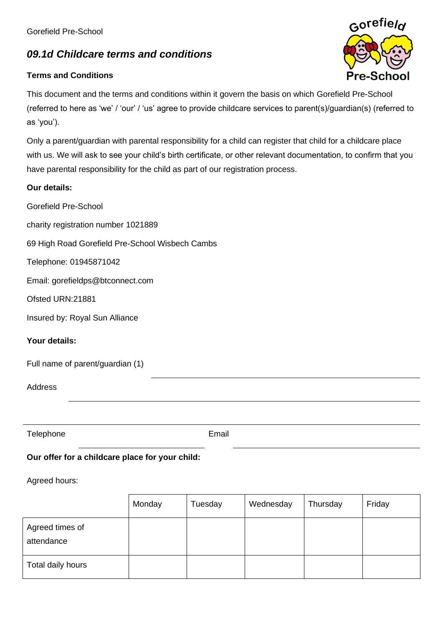Gorefield Pre-School

# *09.1d Childcare terms and conditions*

## **Terms and Conditions**

Gorefield

This document and the terms and conditions within it govern the basis on which Gorefield Pre-School (referred to here as 'we' / 'our' / 'us' agree to provide childcare services to parent(s)/guardian(s) (referred to as 'you').

Only a parent/guardian with parental responsibility for a child can register that child for a childcare place with us. We will ask to see your child's birth certificate, or other relevant documentation, to confirm that you have parental responsibility for the child as part of our registration process.

### **Our details:**

Gorefield Pre-School

charity registration number 1021889

69 High Road Gorefield Pre-School Wisbech Cambs

Telephone: 01945871042

Email: gorefieldps@btconnect.com

Ofsted URN:21881

Insured by: Royal Sun Alliance

#### **Your details:**

|  |  | Full name of parent/guardian (1) |  |
|--|--|----------------------------------|--|
|--|--|----------------------------------|--|

Address

Telephone **Email** 

## **Our offer for a childcare place for your child:**

#### Agreed hours:

|                               | Monday | Tuesday | Wednesday | Thursday | Friday |
|-------------------------------|--------|---------|-----------|----------|--------|
| Agreed times of<br>attendance |        |         |           |          |        |
| Total daily hours             |        |         |           |          |        |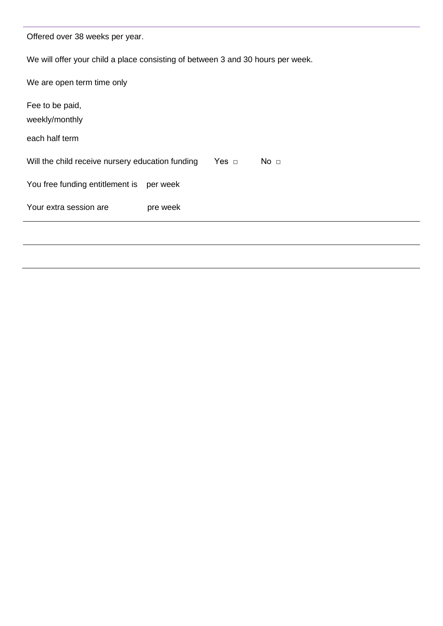| Offered over 38 weeks per year.                                                 |          |            |                 |  |
|---------------------------------------------------------------------------------|----------|------------|-----------------|--|
| We will offer your child a place consisting of between 3 and 30 hours per week. |          |            |                 |  |
| We are open term time only                                                      |          |            |                 |  |
| Fee to be paid,<br>weekly/monthly                                               |          |            |                 |  |
| each half term                                                                  |          |            |                 |  |
| Will the child receive nursery education funding                                |          | Yes $\Box$ | No <sub>1</sub> |  |
| You free funding entitlement is                                                 | per week |            |                 |  |
| Your extra session are                                                          | pre week |            |                 |  |
|                                                                                 |          |            |                 |  |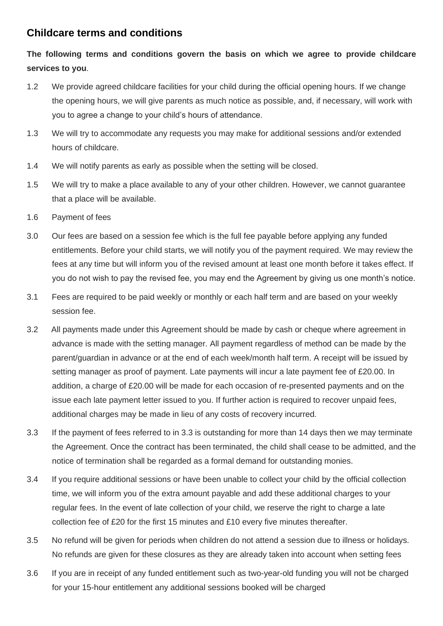## **Childcare terms and conditions**

# **The following terms and conditions govern the basis on which we agree to provide childcare services to you**.

- 1.2 We provide agreed childcare facilities for your child during the official opening hours. If we change the opening hours, we will give parents as much notice as possible, and, if necessary, will work with you to agree a change to your child's hours of attendance.
- 1.3 We will try to accommodate any requests you may make for additional sessions and/or extended hours of childcare.
- 1.4 We will notify parents as early as possible when the setting will be closed.
- 1.5 We will try to make a place available to any of your other children. However, we cannot guarantee that a place will be available.
- 1.6 Payment of fees
- 3.0 Our fees are based on a session fee which is the full fee payable before applying any funded entitlements. Before your child starts, we will notify you of the payment required. We may review the fees at any time but will inform you of the revised amount at least one month before it takes effect. If you do not wish to pay the revised fee, you may end the Agreement by giving us one month's notice.
- 3.1 Fees are required to be paid weekly or monthly or each half term and are based on your weekly session fee.
- 3.2 All payments made under this Agreement should be made by cash or cheque where agreement in advance is made with the setting manager. All payment regardless of method can be made by the parent/guardian in advance or at the end of each week/month half term. A receipt will be issued by setting manager as proof of payment. Late payments will incur a late payment fee of £20.00. In addition, a charge of £20.00 will be made for each occasion of re-presented payments and on the issue each late payment letter issued to you. If further action is required to recover unpaid fees, additional charges may be made in lieu of any costs of recovery incurred.
- 3.3 If the payment of fees referred to in 3.3 is outstanding for more than 14 days then we may terminate the Agreement. Once the contract has been terminated, the child shall cease to be admitted, and the notice of termination shall be regarded as a formal demand for outstanding monies.
- 3.4 If you require additional sessions or have been unable to collect your child by the official collection time, we will inform you of the extra amount payable and add these additional charges to your regular fees. In the event of late collection of your child, we reserve the right to charge a late collection fee of £20 for the first 15 minutes and £10 every five minutes thereafter.
- 3.5 No refund will be given for periods when children do not attend a session due to illness or holidays. No refunds are given for these closures as they are already taken into account when setting fees
- 3.6 If you are in receipt of any funded entitlement such as two-year-old funding you will not be charged for your 15-hour entitlement any additional sessions booked will be charged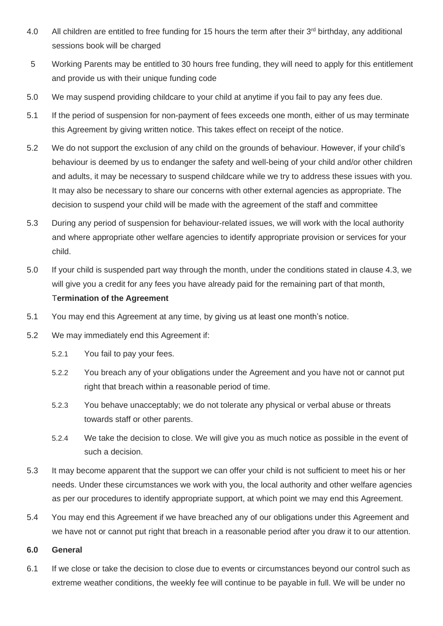- 4.0 All children are entitled to free funding for 15 hours the term after their 3<sup>rd</sup> birthday, any additional sessions book will be charged
- 5 Working Parents may be entitled to 30 hours free funding, they will need to apply for this entitlement and provide us with their unique funding code
- 5.0 We may suspend providing childcare to your child at anytime if you fail to pay any fees due.
- 5.1 If the period of suspension for non-payment of fees exceeds one month, either of us may terminate this Agreement by giving written notice. This takes effect on receipt of the notice.
- 5.2 We do not support the exclusion of any child on the grounds of behaviour. However, if your child's behaviour is deemed by us to endanger the safety and well-being of your child and/or other children and adults, it may be necessary to suspend childcare while we try to address these issues with you. It may also be necessary to share our concerns with other external agencies as appropriate. The decision to suspend your child will be made with the agreement of the staff and committee
- 5.3 During any period of suspension for behaviour-related issues, we will work with the local authority and where appropriate other welfare agencies to identify appropriate provision or services for your child.
- 5.0 If your child is suspended part way through the month, under the conditions stated in clause 4.3, we will give you a credit for any fees you have already paid for the remaining part of that month, T**ermination of the Agreement**
- 5.1 You may end this Agreement at any time, by giving us at least one month's notice.
- 5.2 We may immediately end this Agreement if:
	- 5.2.1 You fail to pay your fees.
	- 5.2.2 You breach any of your obligations under the Agreement and you have not or cannot put right that breach within a reasonable period of time.
	- 5.2.3 You behave unacceptably; we do not tolerate any physical or verbal abuse or threats towards staff or other parents.
	- 5.2.4 We take the decision to close. We will give you as much notice as possible in the event of such a decision.
- 5.3 It may become apparent that the support we can offer your child is not sufficient to meet his or her needs. Under these circumstances we work with you, the local authority and other welfare agencies as per our procedures to identify appropriate support, at which point we may end this Agreement.
- 5.4 You may end this Agreement if we have breached any of our obligations under this Agreement and we have not or cannot put right that breach in a reasonable period after you draw it to our attention.

#### **6.0 General**

6.1 If we close or take the decision to close due to events or circumstances beyond our control such as extreme weather conditions, the weekly fee will continue to be payable in full. We will be under no